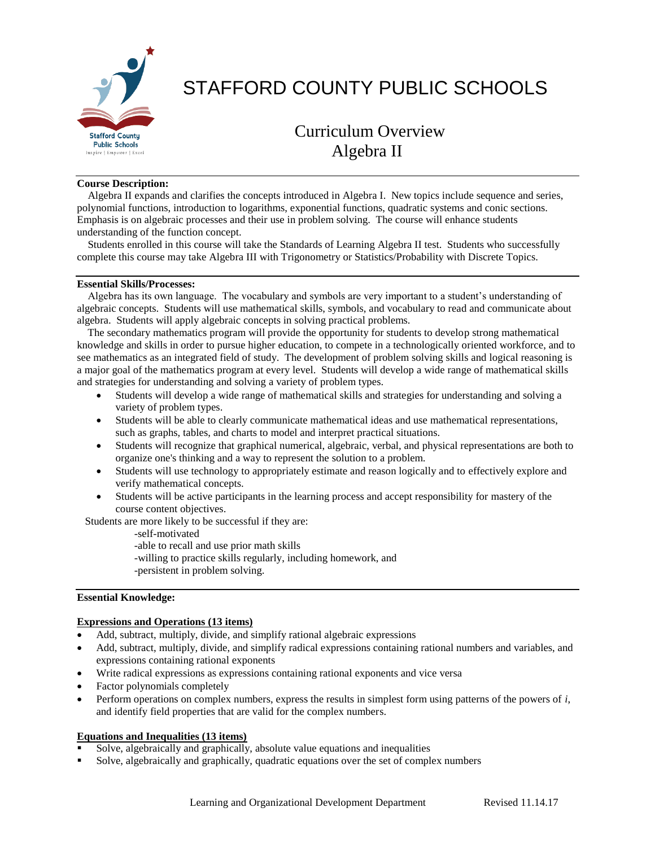

# STAFFORD COUNTY PUBLIC SCHOOLS

## Curriculum Overview Algebra II

#### **Course Description:**

 Algebra II expands and clarifies the concepts introduced in Algebra I. New topics include sequence and series, polynomial functions, introduction to logarithms, exponential functions, quadratic systems and conic sections. Emphasis is on algebraic processes and their use in problem solving. The course will enhance students understanding of the function concept.

 Students enrolled in this course will take the Standards of Learning Algebra II test. Students who successfully complete this course may take Algebra III with Trigonometry or Statistics/Probability with Discrete Topics.

#### **Essential Skills/Processes:**

 Algebra has its own language. The vocabulary and symbols are very important to a student's understanding of algebraic concepts. Students will use mathematical skills, symbols, and vocabulary to read and communicate about algebra. Students will apply algebraic concepts in solving practical problems.

 The secondary mathematics program will provide the opportunity for students to develop strong mathematical knowledge and skills in order to pursue higher education, to compete in a technologically oriented workforce, and to see mathematics as an integrated field of study. The development of problem solving skills and logical reasoning is a major goal of the mathematics program at every level. Students will develop a wide range of mathematical skills and strategies for understanding and solving a variety of problem types.

- Students will develop a wide range of mathematical skills and strategies for understanding and solving a variety of problem types.
- Students will be able to clearly communicate mathematical ideas and use mathematical representations, such as graphs, tables, and charts to model and interpret practical situations.
- Students will recognize that graphical numerical, algebraic, verbal, and physical representations are both to organize one's thinking and a way to represent the solution to a problem.
- Students will use technology to appropriately estimate and reason logically and to effectively explore and verify mathematical concepts.
- Students will be active participants in the learning process and accept responsibility for mastery of the course content objectives.

Students are more likely to be successful if they are:

-self-motivated

-able to recall and use prior math skills

- -willing to practice skills regularly, including homework, and
- -persistent in problem solving.

#### **Essential Knowledge:**

#### **Expressions and Operations (13 items)**

- Add, subtract, multiply, divide, and simplify rational algebraic expressions
- Add, subtract, multiply, divide, and simplify radical expressions containing rational numbers and variables, and expressions containing rational exponents
- Write radical expressions as expressions containing rational exponents and vice versa
- Factor polynomials completely
- Perform operations on complex numbers, express the results in simplest form using patterns of the powers of *i*, and identify field properties that are valid for the complex numbers.

#### **Equations and Inequalities (13 items)**

- Solve, algebraically and graphically, absolute value equations and inequalities
- Solve, algebraically and graphically, quadratic equations over the set of complex numbers